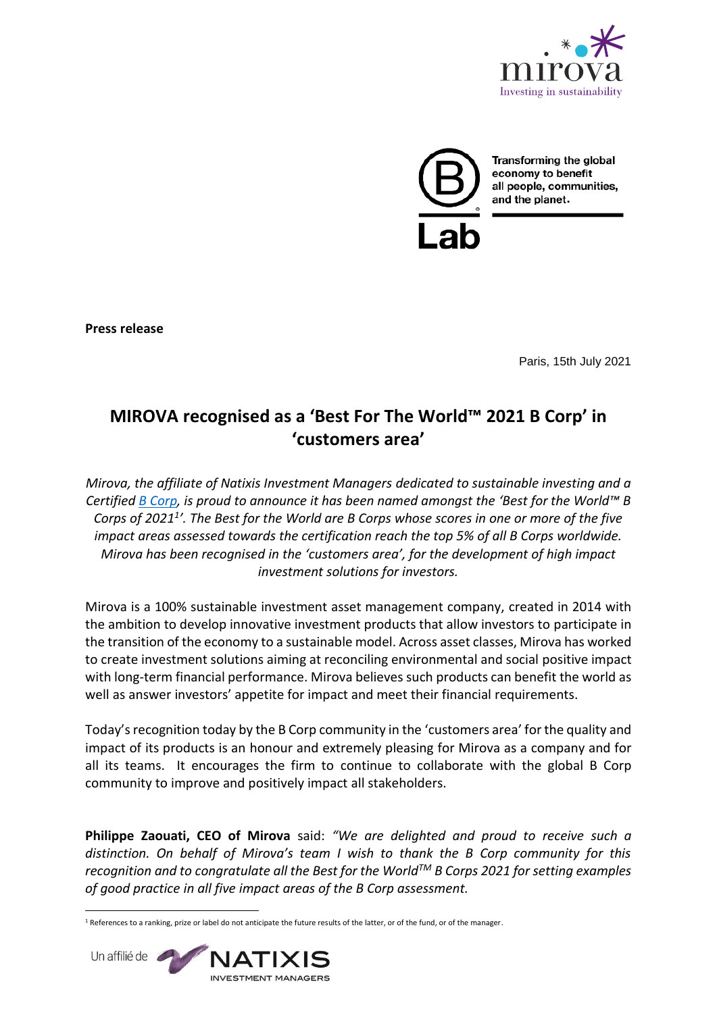



Transforming the global economy to benefit all people, communities,

**Press release**

Paris, 15th July 2021

# **MIROVA recognised as a 'Best For The World™ 2021 B Corp' in 'customers area'**

*Mirova, the affiliate of Natixis Investment Managers dedicated to sustainable investing and a Certified [B Corp,](https://bcorporation.eu/) is proud to announce it has been named amongst the 'Best for the World™ B Corps of 2021<sup>1</sup> '. The Best for the World are B Corps whose scores in one or more of the five impact areas assessed towards the certification reach the top 5% of all B Corps worldwide. Mirova has been recognised in the 'customers area', for the development of high impact investment solutions for investors.*

Mirova is a 100% sustainable investment asset management company, created in 2014 with the ambition to develop innovative investment products that allow investors to participate in the transition of the economy to a sustainable model. Across asset classes, Mirova has worked to create investment solutions aiming at reconciling environmental and social positive impact with long-term financial performance. Mirova believes such products can benefit the world as well as answer investors' appetite for impact and meet their financial requirements.

Today's recognition today by the B Corp community in the 'customers area' for the quality and impact of its products is an honour and extremely pleasing for Mirova as a company and for all its teams. It encourages the firm to continue to collaborate with the global B Corp community to improve and positively impact all stakeholders.

**Philippe Zaouati, CEO of Mirova** said: *"We are delighted and proud to receive such a distinction. On behalf of Mirova's team I wish to thank the B Corp community for this recognition and to congratulate all the Best for the WorldTM B Corps 2021 for setting examples of good practice in all five impact areas of the B Corp assessment.* 

**<sup>.</sup>**  $1$  References to a ranking, prize or label do not anticipate the future results of the latter, or of the fund, or of the manager.

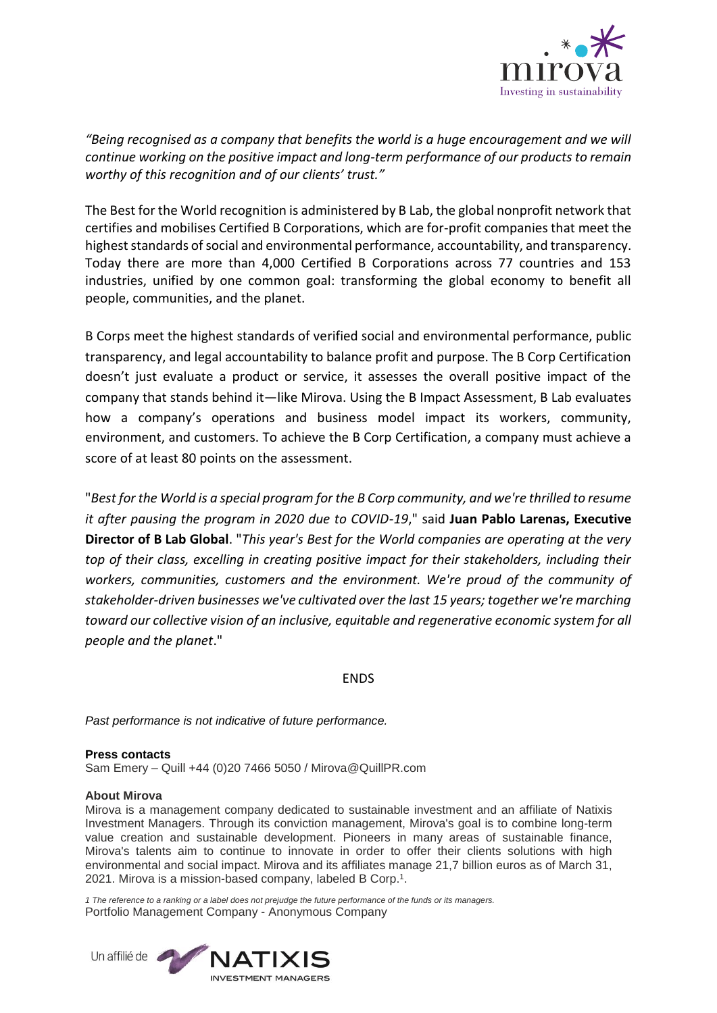

*"Being recognised as a company that benefits the world is a huge encouragement and we will continue working on the positive impact and long-term performance of our products to remain worthy of this recognition and of our clients' trust."*

The Best for the World recognition is administered by B Lab, the global nonprofit network that certifies and mobilises Certified B Corporations, which are for-profit companies that meet the highest standards of social and environmental performance, accountability, and transparency. Today there are more than 4,000 Certified B Corporations across 77 countries and 153 industries, unified by one common goal: transforming the global economy to benefit all people, communities, and the planet.

B Corps meet the highest standards of verified social and environmental performance, public transparency, and legal accountability to balance profit and purpose. The B Corp Certification doesn't just evaluate a product or service, it assesses the overall positive impact of the company that stands behind it—like Mirova. Using the B Impact Assessment, B Lab evaluates how a company's operations and business model impact its workers, community, environment, and customers. To achieve the B Corp Certification, a company must achieve a score of at least 80 points on the assessment.

"*Best for the World is a special program for the B Corp community, and we're thrilled to resume it after pausing the program in 2020 due to COVID-19*," said **Juan Pablo Larenas, Executive Director of B Lab Global**. "*This year's Best for the World companies are operating at the very top of their class, excelling in creating positive impact for their stakeholders, including their workers, communities, customers and the environment. We're proud of the community of stakeholder-driven businesses we've cultivated over the last 15 years; together we're marching toward our collective vision of an inclusive, equitable and regenerative economic system for all people and the planet*."

ENDS

*Past performance is not indicative of future performance.*

# **Press contacts**

Sam Emery – Quill +44 (0)20 7466 5050 / Mirova@QuillPR.com

## **About Mirova**

Mirova is a management company dedicated to sustainable investment and an affiliate of Natixis Investment Managers. Through its conviction management, Mirova's goal is to combine long-term value creation and sustainable development. Pioneers in many areas of sustainable finance, Mirova's talents aim to continue to innovate in order to offer their clients solutions with high environmental and social impact. Mirova and its affiliates manage 21,7 billion euros as of March 31, 2021. Mirova is a mission-based company, labeled B Corp.<sup>1</sup>.

1 The reference to a ranking or a label does not prejudge the future performance of the funds or its managers. Portfolio Management Company - Anonymous Company